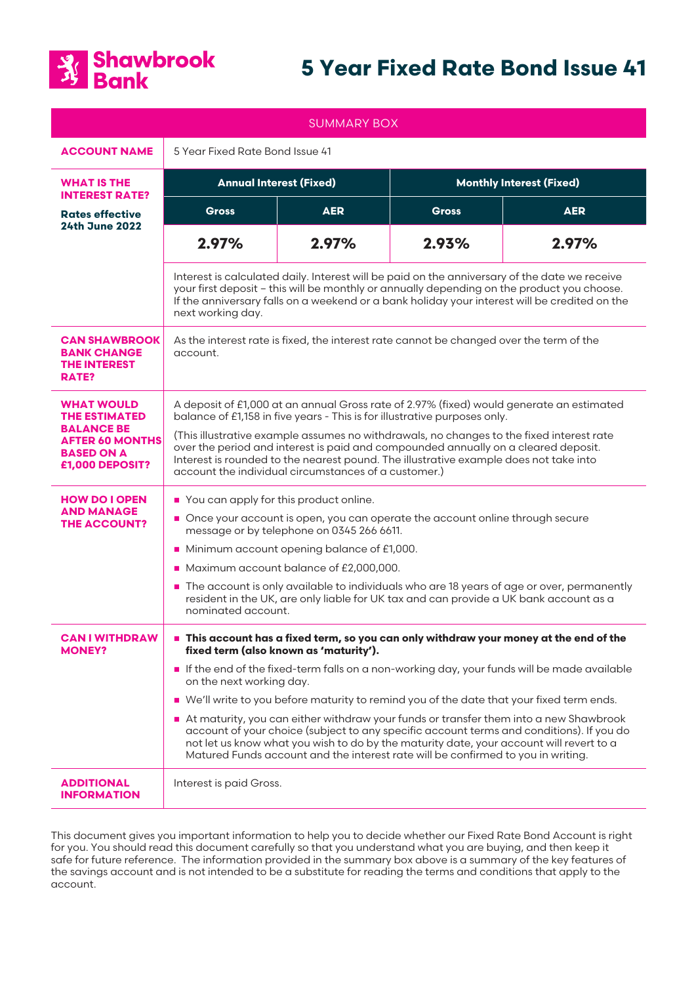

# **5 Year Fixed Rate Bond Issue 41**

| <b>SUMMARY BOX</b>                                                                                                               |                                                                                                                                                                                                                                                                                                                                                                                                                                                                                                                                                                                                                                                                                                                           |            |                                 |            |
|----------------------------------------------------------------------------------------------------------------------------------|---------------------------------------------------------------------------------------------------------------------------------------------------------------------------------------------------------------------------------------------------------------------------------------------------------------------------------------------------------------------------------------------------------------------------------------------------------------------------------------------------------------------------------------------------------------------------------------------------------------------------------------------------------------------------------------------------------------------------|------------|---------------------------------|------------|
| <b>ACCOUNT NAME</b>                                                                                                              | 5 Year Fixed Rate Bond Issue 41                                                                                                                                                                                                                                                                                                                                                                                                                                                                                                                                                                                                                                                                                           |            |                                 |            |
| <b>WHAT IS THE</b><br><b>INTEREST RATE?</b>                                                                                      | <b>Annual Interest (Fixed)</b>                                                                                                                                                                                                                                                                                                                                                                                                                                                                                                                                                                                                                                                                                            |            | <b>Monthly Interest (Fixed)</b> |            |
| <b>Rates effective</b><br><b>24th June 2022</b>                                                                                  | <b>Gross</b>                                                                                                                                                                                                                                                                                                                                                                                                                                                                                                                                                                                                                                                                                                              | <b>AER</b> | <b>Gross</b>                    | <b>AER</b> |
|                                                                                                                                  | 2.97%                                                                                                                                                                                                                                                                                                                                                                                                                                                                                                                                                                                                                                                                                                                     | 2.97%      | 2.93%                           | 2.97%      |
|                                                                                                                                  | Interest is calculated daily. Interest will be paid on the anniversary of the date we receive<br>your first deposit - this will be monthly or annually depending on the product you choose.<br>If the anniversary falls on a weekend or a bank holiday your interest will be credited on the<br>next working day.                                                                                                                                                                                                                                                                                                                                                                                                         |            |                                 |            |
| <b>CAN SHAWBROOK</b><br><b>BANK CHANGE</b><br><b>THE INTEREST</b><br>RATE?                                                       | As the interest rate is fixed, the interest rate cannot be changed over the term of the<br>account.                                                                                                                                                                                                                                                                                                                                                                                                                                                                                                                                                                                                                       |            |                                 |            |
| <b>WHAT WOULD</b><br><b>THE ESTIMATED</b><br><b>BALANCE BE</b><br><b>AFTER 60 MONTHS</b><br><b>BASED ON A</b><br>£1,000 DEPOSIT? | A deposit of £1,000 at an annual Gross rate of 2.97% (fixed) would generate an estimated<br>balance of £1,158 in five years - This is for illustrative purposes only.<br>(This illustrative example assumes no withdrawals, no changes to the fixed interest rate<br>over the period and interest is paid and compounded annually on a cleared deposit.<br>Interest is rounded to the nearest pound. The illustrative example does not take into<br>account the individual circumstances of a customer.)                                                                                                                                                                                                                  |            |                                 |            |
| <b>HOW DO LOPEN</b><br><b>AND MANAGE</b><br><b>THE ACCOUNT?</b>                                                                  | You can apply for this product online.<br>Once your account is open, you can operate the account online through secure<br>message or by telephone on 0345 266 6611.<br>Minimum account opening balance of £1,000.<br>Maximum account balance of £2,000,000.<br>The account is only available to individuals who are 18 years of age or over, permanently<br>resident in the UK, are only liable for UK tax and can provide a UK bank account as a<br>nominated account.                                                                                                                                                                                                                                                   |            |                                 |            |
| <b>CAN I WITHDRAW</b><br><b>MONEY?</b>                                                                                           | This account has a fixed term, so you can only withdraw your money at the end of the<br>fixed term (also known as 'maturity').<br>If the end of the fixed-term falls on a non-working day, your funds will be made available<br>on the next working day.<br>■ We'll write to you before maturity to remind you of the date that your fixed term ends.<br>At maturity, you can either withdraw your funds or transfer them into a new Shawbrook<br>account of your choice (subject to any specific account terms and conditions). If you do<br>not let us know what you wish to do by the maturity date, your account will revert to a<br>Matured Funds account and the interest rate will be confirmed to you in writing. |            |                                 |            |
| <b>ADDITIONAL</b><br><b>INFORMATION</b>                                                                                          | Interest is paid Gross.                                                                                                                                                                                                                                                                                                                                                                                                                                                                                                                                                                                                                                                                                                   |            |                                 |            |

This document gives you important information to help you to decide whether our Fixed Rate Bond Account is right for you. You should read this document carefully so that you understand what you are buying, and then keep it safe for future reference. The information provided in the summary box above is a summary of the key features of the savings account and is not intended to be a substitute for reading the terms and conditions that apply to the account.